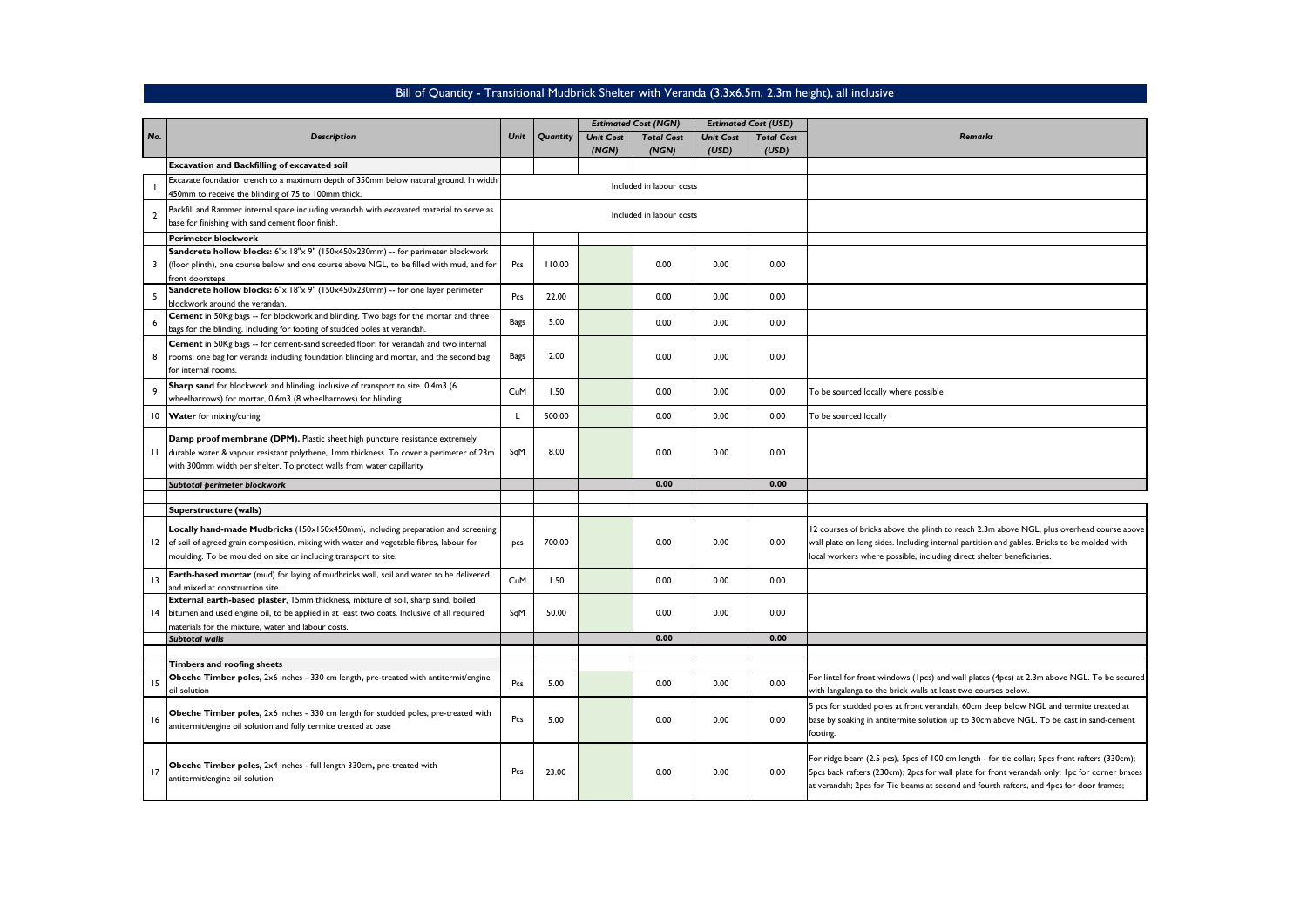## Bill of Quantity - Transitional Mudbrick Shelter with Veranda (3.3x6.5m, 2.3m height), all inclusive

| No.            | Description                                                                                                                                                                                                                                                                 | Unit        | Quantity                 | <b>Estimated Cost (NGN)</b> |                   | <b>Estimated Cost (USD)</b> |                   |                                                                                                                                                                                                                                                                                           |
|----------------|-----------------------------------------------------------------------------------------------------------------------------------------------------------------------------------------------------------------------------------------------------------------------------|-------------|--------------------------|-----------------------------|-------------------|-----------------------------|-------------------|-------------------------------------------------------------------------------------------------------------------------------------------------------------------------------------------------------------------------------------------------------------------------------------------|
|                |                                                                                                                                                                                                                                                                             |             |                          | <b>Unit Cost</b>            | <b>Total Cost</b> | <b>Unit Cost</b>            | <b>Total Cost</b> | Remarks                                                                                                                                                                                                                                                                                   |
|                |                                                                                                                                                                                                                                                                             |             |                          | (NGN)                       | (NGN)             | (USD)                       | (USD)             |                                                                                                                                                                                                                                                                                           |
|                | Excavation and Backfilling of excavated soil                                                                                                                                                                                                                                |             |                          |                             |                   |                             |                   |                                                                                                                                                                                                                                                                                           |
|                | Excavate foundation trench to a maximum depth of 350mm below natural ground. In width<br>450mm to receive the blinding of 75 to 100mm thick.                                                                                                                                |             | Included in labour costs |                             |                   |                             |                   |                                                                                                                                                                                                                                                                                           |
| $\overline{2}$ | Backfill and Rammer internal space including verandah with excavated material to serve as<br>base for finishing with sand cement floor finish.                                                                                                                              |             |                          | Included in labour costs    |                   |                             |                   |                                                                                                                                                                                                                                                                                           |
|                | Perimeter blockwork                                                                                                                                                                                                                                                         |             |                          |                             |                   |                             |                   |                                                                                                                                                                                                                                                                                           |
| 3              | Sandcrete hollow blocks: 6"x 18"x 9" (150x450x230mm) -- for perimeter blockwork<br>(floor plinth), one course below and one course above NGL, to be filled with mud, and for<br>front doorsteps                                                                             | Pcs         | 110.00                   |                             | 0.00              | 0.00                        | 0.00              |                                                                                                                                                                                                                                                                                           |
| 5              | Sandcrete hollow blocks: 6"x 18"x 9" (150x450x230mm) -- for one layer perimeter<br>blockwork around the verandah.                                                                                                                                                           | Pcs         | 22.00                    |                             | 0.00              | 0.00                        | 0.00              |                                                                                                                                                                                                                                                                                           |
|                | Cement in 50Kg bags -- for blockwork and blinding. Two bags for the mortar and three<br>bags for the blinding. Including for footing of studded poles at verandah.                                                                                                          | <b>Bags</b> | 5.00                     |                             | 0.00              | 0.00                        | 0.00              |                                                                                                                                                                                                                                                                                           |
| 8              | Cement in 50Kg bags -- for cement-sand screeded floor; for verandah and two internal<br>rooms; one bag for veranda including foundation blinding and mortar, and the second bag<br>for internal rooms.                                                                      | <b>Bags</b> | 2.00                     |                             | 0.00              | 0.00                        | 0.00              |                                                                                                                                                                                                                                                                                           |
| 9              | Sharp sand for blockwork and blinding, inclusive of transport to site. 0.4m3 (6<br>wheelbarrows) for mortar, 0.6m3 (8 wheelbarrows) for blinding.                                                                                                                           | CuM         | 1.50                     |                             | 0.00              | 0.00                        | 0.00              | To be sourced locally where possible                                                                                                                                                                                                                                                      |
| 10             | <b>Water</b> for mixing/curing                                                                                                                                                                                                                                              | L           | 500.00                   |                             | 0.00              | 0.00                        | 0.00              | To be sourced locally                                                                                                                                                                                                                                                                     |
| П.             | Damp proof membrane (DPM). Plastic sheet high puncture resistance extremely<br>durable water & vapour resistant polythene, 1mm thickness. To cover a perimeter of 23m<br>with 300mm width per shelter. To protect walls from water capillarity                              | SqM         | 8.00                     |                             | 0.00              | 0.00                        | 0.00              |                                                                                                                                                                                                                                                                                           |
|                | Subtotal perimeter blockwork                                                                                                                                                                                                                                                |             |                          |                             | 0.00              |                             | 0.00              |                                                                                                                                                                                                                                                                                           |
|                |                                                                                                                                                                                                                                                                             |             |                          |                             |                   |                             |                   |                                                                                                                                                                                                                                                                                           |
|                | Superstructure (walls)<br>Locally hand-made Mudbricks (150x150x450mm), including preparation and screening<br>12 of soil of agreed grain composition, mixing with water and vegetable fibres, labour for<br>moulding. To be moulded on site or including transport to site. | <b>DCS</b>  | 700.00                   |                             | 0.00              | 0.00                        | 0.00              | 12 courses of bricks above the plinth to reach 2.3m above NGL, plus overhead course above<br>wall plate on long sides. Including internal partition and gables. Bricks to be molded with<br>local workers where possible, including direct shelter beneficiaries.                         |
| 13             | Earth-based mortar (mud) for laying of mudbricks wall, soil and water to be delivered<br>and mixed at construction site.                                                                                                                                                    | CuM         | 1.50                     |                             | 0.00              | 0.00                        | 0.00              |                                                                                                                                                                                                                                                                                           |
|                | External earth-based plaster, 15mm thickness, mixture of soil, sharp sand, boiled<br>14 bitumen and used engine oil, to be applied in at least two coats. Inclusive of all required<br>materials for the mixture, water and labour costs.                                   | SqM         | 50.00                    |                             | 0.00              | 0.00                        | 0.00              |                                                                                                                                                                                                                                                                                           |
|                | <b>Subtotal walls</b>                                                                                                                                                                                                                                                       |             |                          |                             | 0.00              |                             | 0.00              |                                                                                                                                                                                                                                                                                           |
|                |                                                                                                                                                                                                                                                                             |             |                          |                             |                   |                             |                   |                                                                                                                                                                                                                                                                                           |
| 15             | Timbers and roofing sheets<br>Obeche Timber poles, 2x6 inches - 330 cm length, pre-treated with antitermit/engine<br>oil solution                                                                                                                                           | Pcs         | 5.00                     |                             | 0.00              | 0.00                        | 0.00              | For lintel for front windows (1pcs) and wall plates (4pcs) at 2.3m above NGL. To be secured<br>with langalanga to the brick walls at least two courses below.                                                                                                                             |
| 16             | Obeche Timber poles, 2x6 inches - 330 cm length for studded poles, pre-treated with<br>antitermit/engine oil solution and fully termite treated at base                                                                                                                     | Pcs         | 5.00                     |                             | 0.00              | 0.00                        | 0.00              | 5 pcs for studded poles at front verandah, 60cm deep below NGL and termite treated at<br>base by soaking in antitermite solution up to 30cm above NGL. To be cast in sand-cement<br>footing.                                                                                              |
| 17             | Obeche Timber poles, 2x4 inches - full length 330cm, pre-treated with<br>antitermit/engine oil solution                                                                                                                                                                     | Pcs         | 23.00                    |                             | 0.00              | 0.00                        | 0.00              | For ridge beam (2.5 pcs), 5pcs of 100 cm length - for tie collar; 5pcs front rafters (330cm);<br>5pcs back rafters (230cm); 2pcs for wall plate for front verandah only; 1pc for corner braces<br>at verandah; 2pcs for Tie beams at second and fourth rafters, and 4pcs for door frames; |